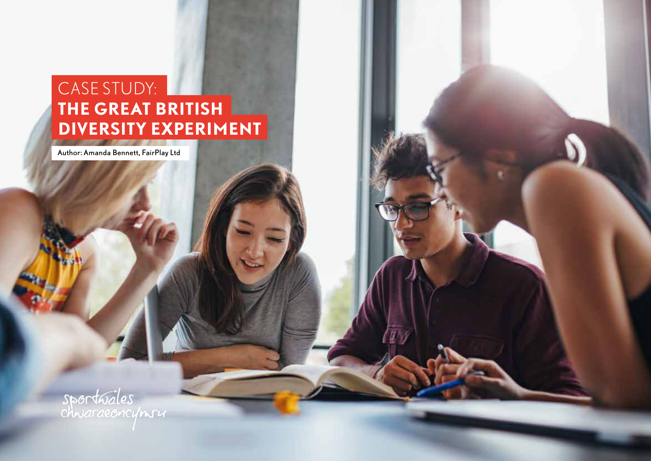# CASE STUDY: **THE GREAT BRITISH DIVERSITY EXPERIMENT**

Author: Amanda Bennett, FairPlay Ltd

sportuales<br>chwaraeoncynru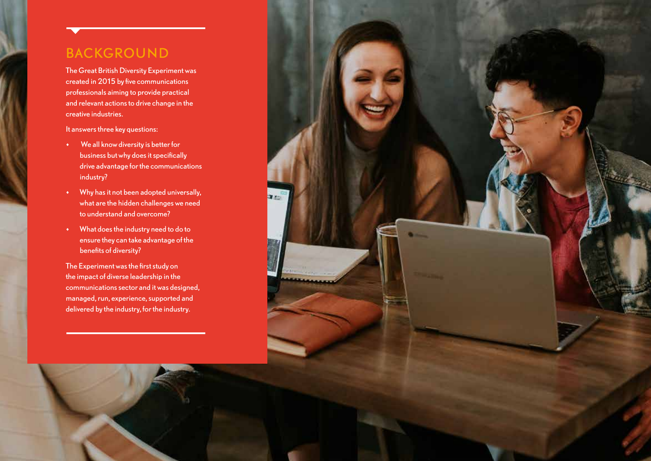# BACKGROUND

The Great British Diversity Experiment was created in 2015 by five communications professionals aiming to provide practical and relevant actions to drive change in the creative industries.

It answers three key questions:

- We all know diversity is better for business but why does it specifically drive advantage for the communications industry?
- Why has it not been adopted universally, what are the hidden challenges we need to understand and overcome?
- What does the industry need to do to ensure they can take advantage of the benefits of diversity?

The Experiment was the first study on the impact of diverse leadership in the communications sector and it was designed, managed, run, experience, supported and delivered by the industry, for the industry.

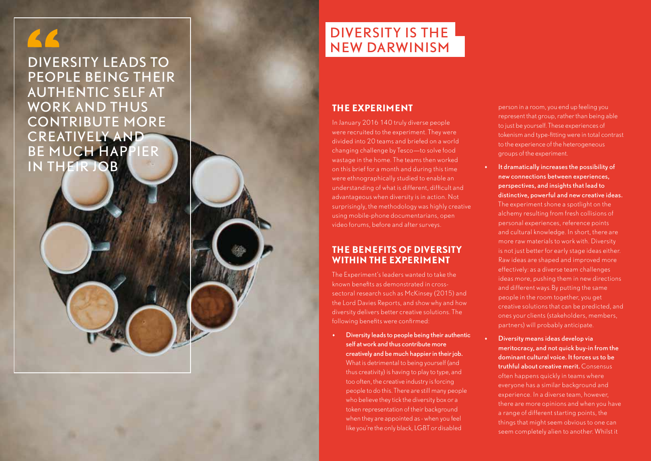DIVERSITY LEADS TO PEOPLE BEING THEIR AUTHENTIC SELF AT WORK AND THUS CONTRIBUTE MORE CREATIVELY AND BE MUCH HAPPIER IN THEIR JOB

# DIVERSITY IS THE NEW DARWINISM

# **THE EXPERIMENT**

In January 2016 140 truly diverse people were recruited to the experiment. They were divided into 20 teams and briefed on a world changing challenge by Tesco—to solve food wastage in the home. The teams then worked on this brief for a month and during this time were ethnographically studied to enable an understanding of what is different, difficult and advantageous when diversity is in action. Not surprisingly, the methodology was highly creative using mobile-phone documentarians, open video forums, before and after surveys.

### **THE BENEFITS OF DIVERSITY WITHIN THE EXPERIMENT**

The Experiment's leaders wanted to take the known benefits as demonstrated in crosssectoral research such as McKinsey (2015) and the Lord Davies Reports, and show why and how diversity delivers better creative solutions. The following benefits were confirmed:

• Diversity leads to people being their authentic self at work and thus contribute more creatively and be much happier in their job. What is detrimental to being yourself (and thus creativity) is having to play to type, and too often, the creative industry is forcing people to do this. There are still many people who believe they tick the diversity box or a token representation of their background when they are appointed as - when you feel like you're the only black, LGBT or disabled

person in a room, you end up feeling you represent that group, rather than being able to just be yourself. These experiences of tokenism and type-fitting were in total contrast to the experience of the heterogeneous groups of the experiment.

- It dramatically increases the possibility of new connections between experiences, perspectives, and insights that lead to distinctive, powerful and new creative ideas. The experiment shone a spotlight on the alchemy resulting from fresh collisions of personal experiences, reference points and cultural knowledge. In short, there are more raw materials to work with. Diversity is not just better for early stage ideas either. Raw ideas are shaped and improved more effectively: as a diverse team challenges ideas more, pushing them in new directions and different ways.By putting the same people in the room together, you get creative solutions that can be predicted, and ones your clients (stakeholders, members, partners) will probably anticipate.
- Diversity means ideas develop via meritocracy, and not quick buy-in from the dominant cultural voice. It forces us to be truthful about creative merit. Consensus often happens quickly in teams where everyone has a similar background and experience. In a diverse team, however, there are more opinions and when you have a range of different starting points, the things that might seem obvious to one can seem completely alien to another. Whilst it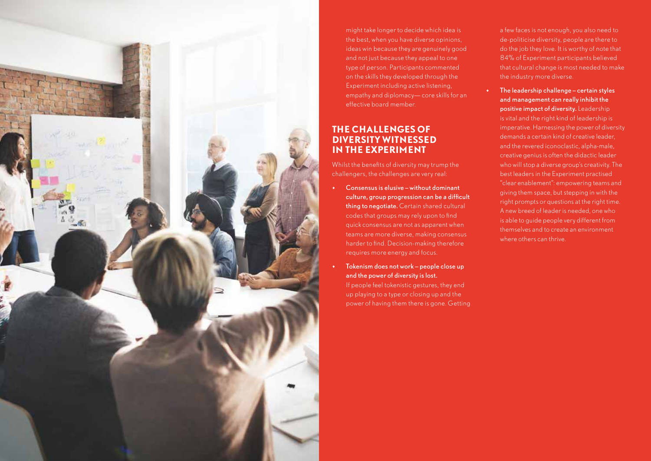

might take longer to decide which idea is the best, when you have diverse opinions, ideas win because they are genuinely good and not just because they appeal to one type of person. Participants commented on the skills they developed through the Experiment including active listening, empathy and diplomacy— core skills for an effective board member.

#### **THE CHALLENGES OF DIVERSITY WITNESSED IN THE EXPERIMENT**

Whilst the benefits of diversity may trump the challengers, the challenges are very real:

- Consensus is elusive without dominant culture, group progression can be a difficult thing to negotiate. Certain shared cultural codes that groups may rely upon to find quick consensus are not as apparent when teams are more diverse, making consensus harder to find. Decision-making therefore requires more energy and focus.
- Tokenism does not work people close up and the power of diversity is lost. If people feel tokenistic gestures, they end up playing to a type or closing up and the power of having them there is gone. Getting

a few faces is not enough, you also need to de-politicise diversity, people are there to do the job they love. It is worthy of note that 84% of Experiment participants believed that cultural change is most needed to make the industry more diverse.

• The leadership challenge – certain styles and management can really inhibit the positive impact of diversity. Leadership is vital and the right kind of leadership is imperative. Harnessing the power of diversity demands a certain kind of creative leader, and the revered iconoclastic, alpha-male, creative genius is often the didactic leader who will stop a diverse group's creativity. The best leaders in the Experiment practised "clear enablement": empowering teams and giving them space, but stepping in with the right prompts or questions at the right time. A new breed of leader is needed, one who is able to guide people very different from themselves and to create an environment where others can thrive.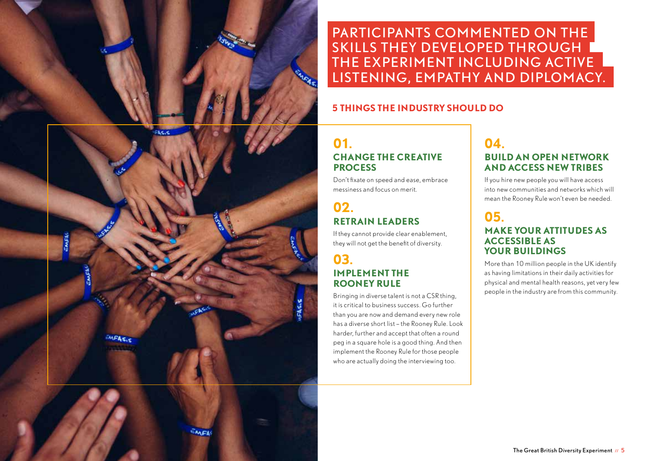

PARTICIPANTS COMMENTED ON THE SKILLS THEY DEVELOPED THROUGH I THE EXPERIMENT INCLUDING ACTIVE LISTENING, EMPATHY AND DIPLOMACY.

#### **5 THINGS THE INDUSTRY SHOULD DO**

# **01. CHANGE THE CREATIVE PROCESS**

Don't fixate on speed and ease, embrace messiness and focus on merit.

# **02. RETRAIN LEADERS**

If they cannot provide clear enablement, they will not get the benefit of diversity.

### **03. IMPLEMENT THE ROONEY RULE**

Bringing in diverse talent is not a CSR thing, it is critical to business success. Go further than you are now and demand every new role has a diverse short list – the Rooney Rule. Look harder, further and accept that often a round peg in a square hole is a good thing. And then implement the Rooney Rule for those people who are actually doing the interviewing too.

# **04. BUILD AN OPEN NETWORK AND ACCESS NEW TRIBES**

If you hire new people you will have access into new communities and networks which will mean the Rooney Rule won't even be needed.

## **05. MAKE YOUR ATTITUDES AS ACCESSIBLE AS YOUR BUILDINGS**

More than 10 million people in the UK identify as having limitations in their daily activities for physical and mental health reasons, yet very few people in the industry are from this community.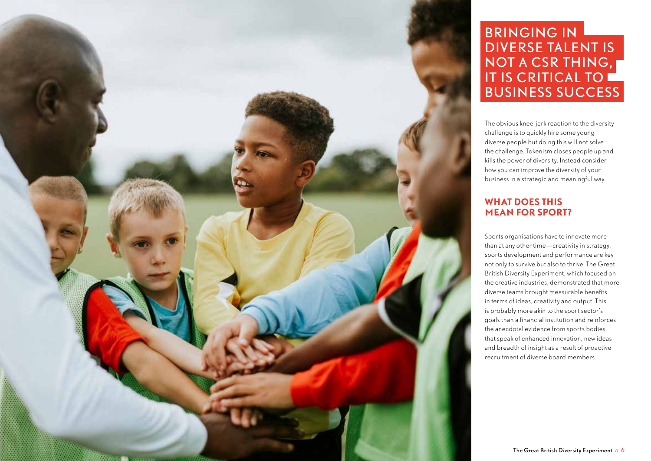

# BRINGING IN DIVERSE TALENT IS NOT A CSR THING, IT IS CRITICAL TO BUSINESS SUCCESS

The obvious knee-jerk reaction to the diversity challenge is to quickly hire some young diverse people but doing this will not solve the challenge. Tokenism closes people up and kills the power of diversity. Instead consider how you can improve the diversity of your business in a strategic and meaningful way.

#### **WHAT DOES THIS MEAN FOR SPORT?**

Sports organisations have to innovate more than at any other time—creativity in strategy, sports development and performance are key not only to survive but also to thrive. The Great British Diversity Experiment, which focused on the creative industries, demonstrated that more diverse teams brought measurable benefits in terms of ideas, creativity and output. This is probably more akin to the sport sector's goals than a financial institution and reinforces the anecdotal evidence from sports bodies that speak of enhanced innovation, new ideas and breadth of insight as a result of proactive recruitment of diverse board members.